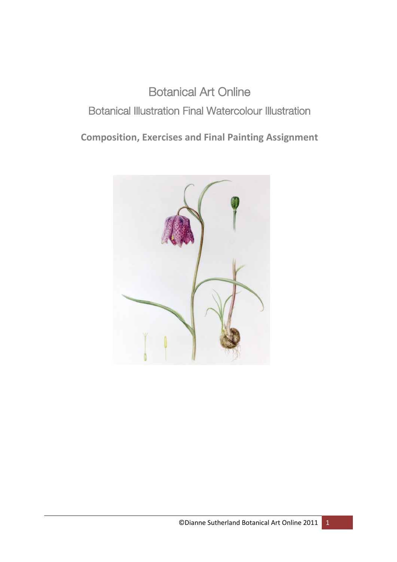## Botanical Art Online Botanical Illustration Final Watercolour Illustration

**Composition, Exercises and Final Painting Assignment**